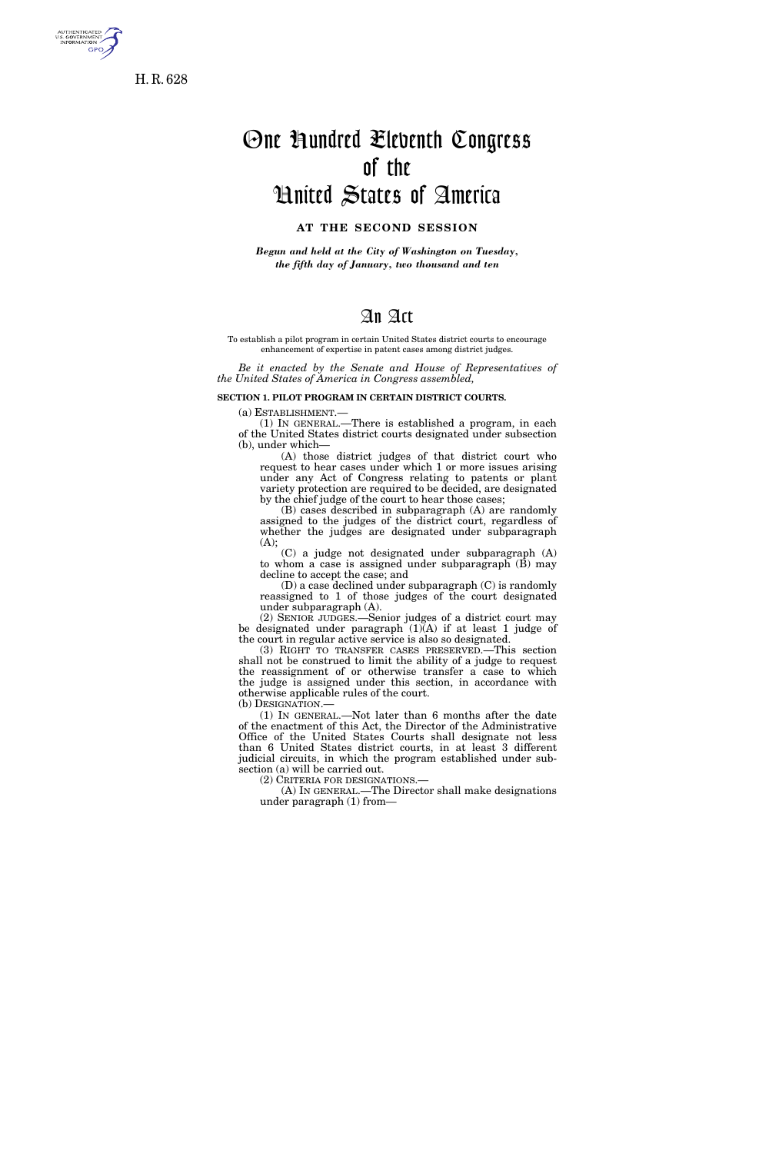

H. R. 628

# One Hundred Eleventh Congress of the United States of America

## **AT THE SECOND SESSION**

*Begun and held at the City of Washington on Tuesday, the fifth day of January, two thousand and ten* 

# An Act

To establish a pilot program in certain United States district courts to encourage enhancement of expertise in patent cases among district judges.

*Be it enacted by the Senate and House of Representatives of the United States of America in Congress assembled,* 

#### **SECTION 1. PILOT PROGRAM IN CERTAIN DISTRICT COURTS.**

(a) ESTABLISHMENT.—

(1) IN GENERAL.—There is established a program, in each of the United States district courts designated under subsection (b), under which—

(A) those district judges of that district court who request to hear cases under which 1 or more issues arising under any Act of Congress relating to patents or plant variety protection are required to be decided, are designated by the chief judge of the court to hear those cases;

(B) cases described in subparagraph (A) are randomly assigned to the judges of the district court, regardless of whether the judges are designated under subparagraph (A);

(C) a judge not designated under subparagraph (A) to whom a case is assigned under subparagraph (B) may decline to accept the case; and

(D) a case declined under subparagraph (C) is randomly reassigned to 1 of those judges of the court designated under subparagraph (A).

(2) SENIOR JUDGES.—Senior judges of a district court may be designated under paragraph  $(1)(A)$  if at least 1 judge of the court in regular active service is also so designated.

(3) RIGHT TO TRANSFER CASES PRESERVED.—This section shall not be construed to limit the ability of a judge to request the reassignment of or otherwise transfer a case to which the judge is assigned under this section, in accordance with otherwise applicable rules of the court.

(b) DESIGNATION.—

(1) IN GENERAL.—Not later than 6 months after the date of the enactment of this Act, the Director of the Administrative Office of the United States Courts shall designate not less than 6 United States district courts, in at least 3 different judicial circuits, in which the program established under subsection (a) will be carried out.

(2) CRITERIA FOR DESIGNATIONS.—

(A) IN GENERAL.—The Director shall make designations under paragraph (1) from—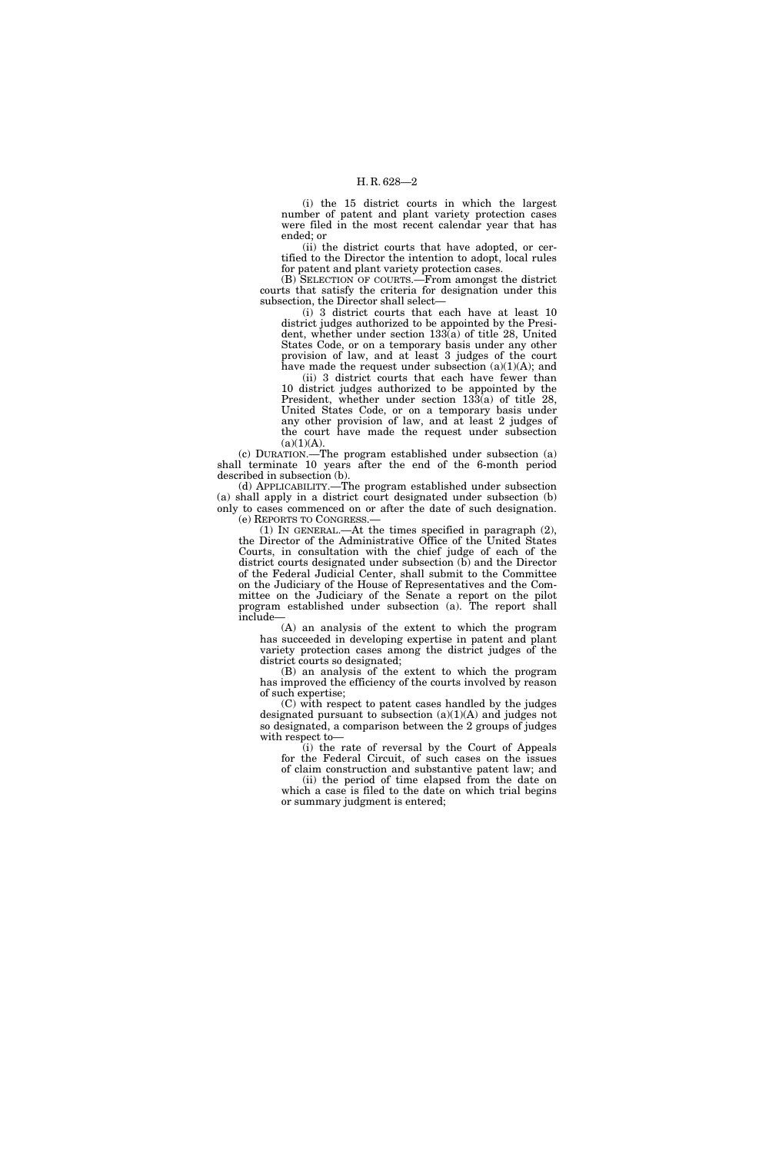#### H. R. 628—2

(i) the 15 district courts in which the largest number of patent and plant variety protection cases were filed in the most recent calendar year that has ended; or

(ii) the district courts that have adopted, or certified to the Director the intention to adopt, local rules for patent and plant variety protection cases.

(B) SELECTION OF COURTS.—From amongst the district courts that satisfy the criteria for designation under this subsection, the Director shall select—

(i) 3 district courts that each have at least 10 district judges authorized to be appointed by the President, whether under section 133(a) of title 28, United States Code, or on a temporary basis under any other provision of law, and at least 3 judges of the court have made the request under subsection (a)(1)(A); and

(ii) 3 district courts that each have fewer than 10 district judges authorized to be appointed by the President, whether under section 133(a) of title 28, United States Code, or on a temporary basis under any other provision of law, and at least 2 judges of the court have made the request under subsection  $(a)(1)(A).$ 

(c) DURATION.—The program established under subsection (a) shall terminate 10 years after the end of the 6-month period described in subsection (b).

(d) APPLICABILITY.—The program established under subsection (a) shall apply in a district court designated under subsection (b) only to cases commenced on or after the date of such designation. (e) REPORTS TO CONGRESS.—

(1) IN GENERAL.—At the times specified in paragraph (2), the Director of the Administrative Office of the United States Courts, in consultation with the chief judge of each of the district courts designated under subsection (b) and the Director of the Federal Judicial Center, shall submit to the Committee on the Judiciary of the House of Representatives and the Committee on the Judiciary of the Senate a report on the pilot program established under subsection (a). The report shall include—

(A) an analysis of the extent to which the program has succeeded in developing expertise in patent and plant variety protection cases among the district judges of the district courts so designated;

(B) an analysis of the extent to which the program has improved the efficiency of the courts involved by reason of such expertise;

(C) with respect to patent cases handled by the judges designated pursuant to subsection  $(a)(1)(A)$  and judges not so designated, a comparison between the 2 groups of judges with respect to—

(i) the rate of reversal by the Court of Appeals for the Federal Circuit, of such cases on the issues

of claim construction and substantive patent law; and (ii) the period of time elapsed from the date on which a case is filed to the date on which trial begins or summary judgment is entered;